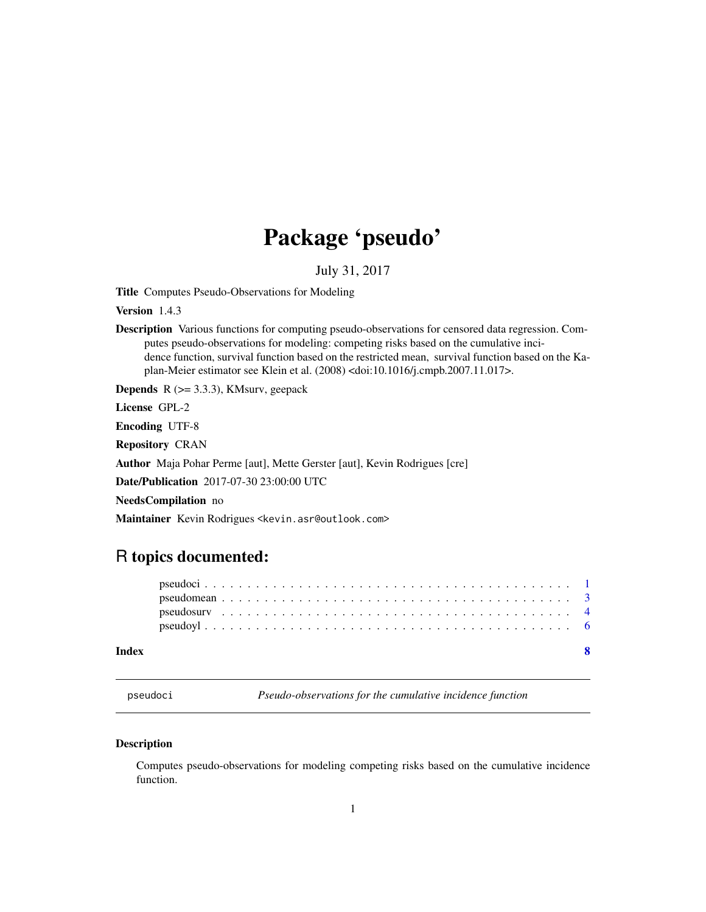## Package 'pseudo'

July 31, 2017

<span id="page-0-0"></span>Title Computes Pseudo-Observations for Modeling

Version 1.4.3

Description Various functions for computing pseudo-observations for censored data regression. Computes pseudo-observations for modeling: competing risks based on the cumulative incidence function, survival function based on the restricted mean, survival function based on the Kaplan-Meier estimator see Klein et al. (2008) <doi:10.1016/j.cmpb.2007.11.017>.

**Depends**  $R$  ( $>= 3.3.3$ ), KMsurv, geepack

License GPL-2

Encoding UTF-8

Repository CRAN

Author Maja Pohar Perme [aut], Mette Gerster [aut], Kevin Rodrigues [cre]

Date/Publication 2017-07-30 23:00:00 UTC

NeedsCompilation no

Maintainer Kevin Rodrigues <kevin.asr@outlook.com>

## R topics documented:

#### **Index** [8](#page-7-0) **8**

<span id="page-0-1"></span>pseudoci *Pseudo-observations for the cumulative incidence function*

#### Description

Computes pseudo-observations for modeling competing risks based on the cumulative incidence function.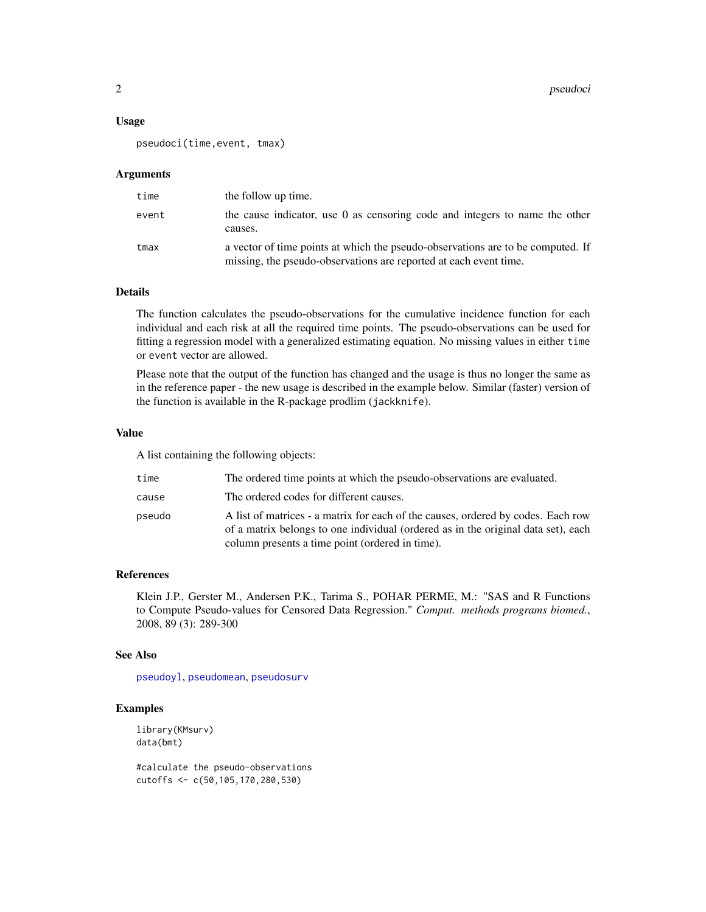#### <span id="page-1-0"></span>Usage

pseudoci(time,event, tmax)

#### Arguments

| time  | the follow up time.                                                                                                                                  |
|-------|------------------------------------------------------------------------------------------------------------------------------------------------------|
| event | the cause indicator, use 0 as censoring code and integers to name the other<br>causes.                                                               |
| tmax  | a vector of time points at which the pseudo-observations are to be computed. If<br>missing, the pseudo-observations are reported at each event time. |

#### Details

The function calculates the pseudo-observations for the cumulative incidence function for each individual and each risk at all the required time points. The pseudo-observations can be used for fitting a regression model with a generalized estimating equation. No missing values in either time or event vector are allowed.

Please note that the output of the function has changed and the usage is thus no longer the same as in the reference paper - the new usage is described in the example below. Similar (faster) version of the function is available in the R-package prodlim (jackknife).

#### Value

A list containing the following objects:

| time   | The ordered time points at which the pseudo-observations are evaluated.                                                                                                                                                  |
|--------|--------------------------------------------------------------------------------------------------------------------------------------------------------------------------------------------------------------------------|
| cause  | The ordered codes for different causes.                                                                                                                                                                                  |
| pseudo | A list of matrices - a matrix for each of the causes, ordered by codes. Each row<br>of a matrix belongs to one individual (ordered as in the original data set), each<br>column presents a time point (ordered in time). |

#### References

Klein J.P., Gerster M., Andersen P.K., Tarima S., POHAR PERME, M.: "SAS and R Functions to Compute Pseudo-values for Censored Data Regression." *Comput. methods programs biomed.*, 2008, 89 (3): 289-300

#### See Also

[pseudoyl](#page-5-1), [pseudomean](#page-2-1), [pseudosurv](#page-3-1)

#### Examples

library(KMsurv) data(bmt)

#calculate the pseudo-observations cutoffs <- c(50,105,170,280,530)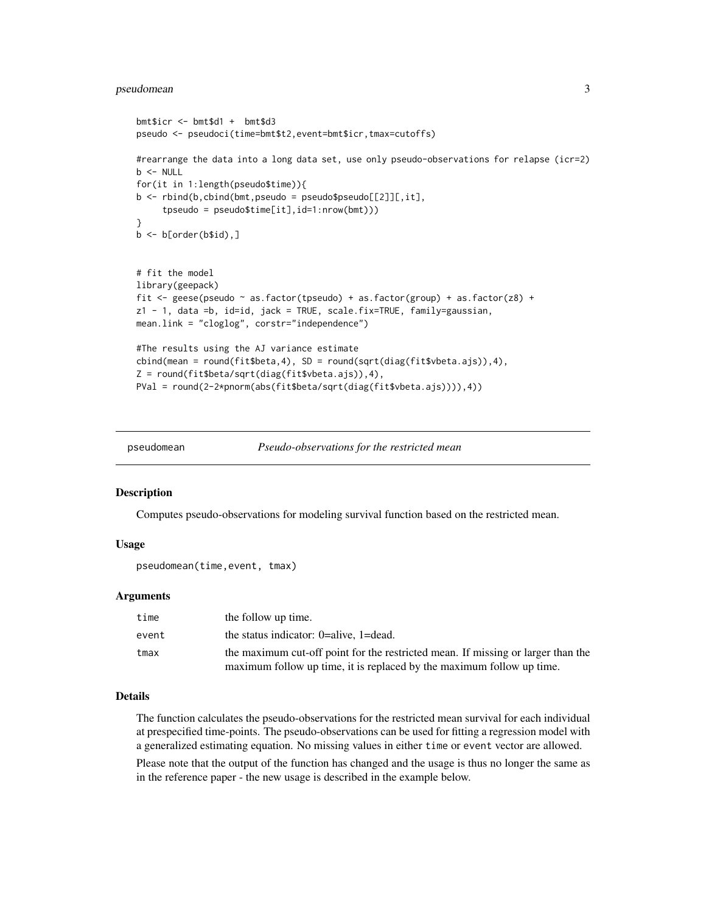#### <span id="page-2-0"></span>pseudomean 3

```
bmt$icr <- bmt$d1 + bmt$d3
pseudo <- pseudoci(time=bmt$t2,event=bmt$icr,tmax=cutoffs)
#rearrange the data into a long data set, use only pseudo-observations for relapse (icr=2)
b <- NULL
for(it in 1:length(pseudo$time)){
b \le rbind(b, cbind(bmt, pseudo = pseudo$pseudo[[2]][, it],
     tpseudo = pseudo$time[it],id=1:nrow(bmt)))
}
b \leftarrow b[order(b$id),]# fit the model
library(geepack)
fit <- geese(pseudo ~ as.factor(tpseudo) + as.factor(group) + as.factor(z8) +
z1 - 1, data =b, id=id, jack = TRUE, scale.fix=TRUE, family=gaussian,
mean.link = "cloglog", corstr="independence")
#The results using the AJ variance estimate
cbind(mean = round(fit$beta,4), SD = round(sqrt(diag(fit$vbeta.ajs)),4),
Z = round(fit$beta/sqrt(diag(fit$vbeta.ajs)),4),
PVal = round(2-2*pnorm(abs(fit$beta/sqrt(diag(fit$vbeta.ajs)))),4))
```
<span id="page-2-1"></span>

pseudomean *Pseudo-observations for the restricted mean*

#### Description

Computes pseudo-observations for modeling survival function based on the restricted mean.

#### Usage

```
pseudomean(time,event, tmax)
```
#### Arguments

| time  | the follow up time.                                                              |
|-------|----------------------------------------------------------------------------------|
| event | the status indicator: $0=$ alive, $1=$ dead.                                     |
| tmax  | the maximum cut-off point for the restricted mean. If missing or larger than the |
|       | maximum follow up time, it is replaced by the maximum follow up time.            |

#### Details

The function calculates the pseudo-observations for the restricted mean survival for each individual at prespecified time-points. The pseudo-observations can be used for fitting a regression model with a generalized estimating equation. No missing values in either time or event vector are allowed. Please note that the output of the function has changed and the usage is thus no longer the same as in the reference paper - the new usage is described in the example below.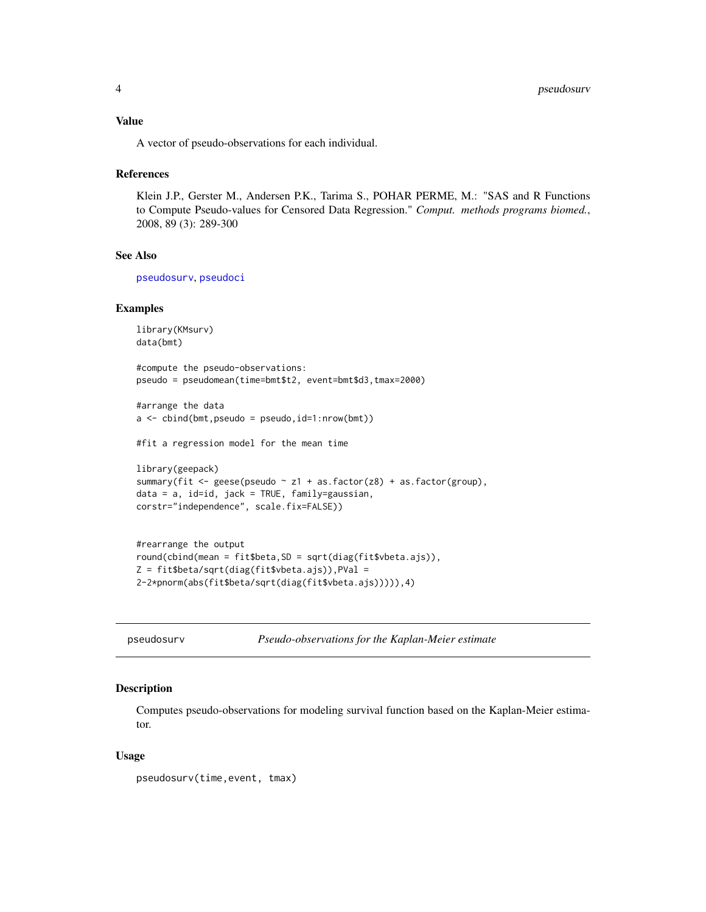#### <span id="page-3-0"></span>Value

A vector of pseudo-observations for each individual.

#### **References**

Klein J.P., Gerster M., Andersen P.K., Tarima S., POHAR PERME, M.: "SAS and R Functions to Compute Pseudo-values for Censored Data Regression." *Comput. methods programs biomed.*, 2008, 89 (3): 289-300

#### See Also

[pseudosurv](#page-3-1), [pseudoci](#page-0-1)

#### Examples

```
library(KMsurv)
data(bmt)
#compute the pseudo-observations:
pseudo = pseudomean(time=bmt$t2, event=bmt$d3,tmax=2000)
#arrange the data
a <- cbind(bmt,pseudo = pseudo,id=1:nrow(bmt))
#fit a regression model for the mean time
library(geepack)
summary(fit <- geese(pseudo ~ z1 + as.factor(z8) + as.factor(group),
data = a, id=id, jack = TRUE, family=gaussian,
corstr="independence", scale.fix=FALSE))
#rearrange the output
```

```
round(cbind(mean = fit$beta,SD = sqrt(diag(fit$vbeta.ajs)),
Z = fit$beta/sqrt(diag(fit$vbeta.ajs)),PVal =
2-2*pnorm(abs(fit$beta/sqrt(diag(fit$vbeta.ajs))))),4)
```
<span id="page-3-1"></span>pseudosurv *Pseudo-observations for the Kaplan-Meier estimate*

#### Description

Computes pseudo-observations for modeling survival function based on the Kaplan-Meier estimator.

#### Usage

pseudosurv(time,event, tmax)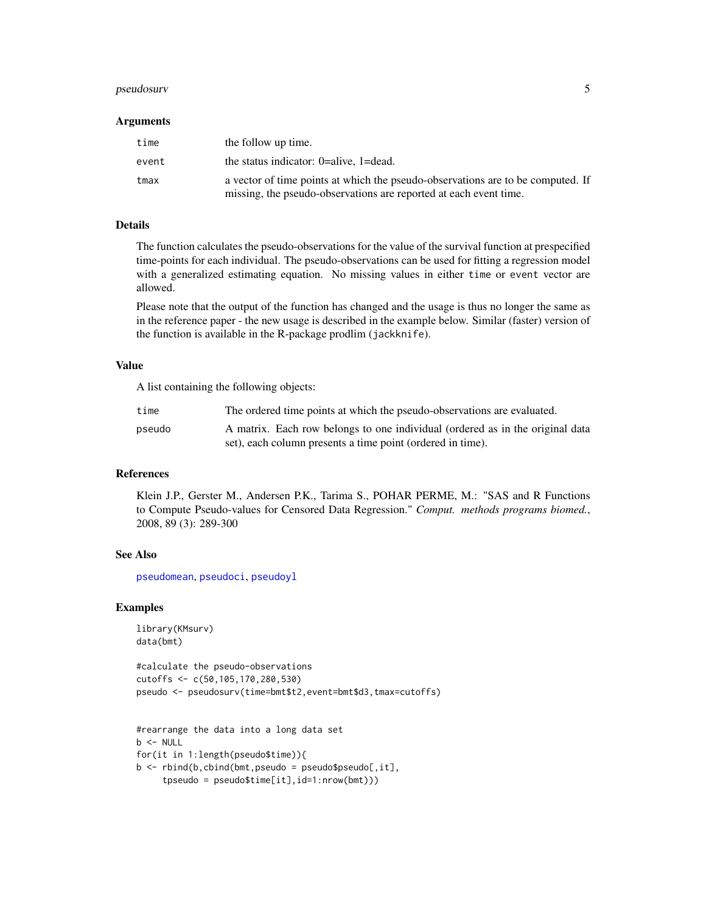#### <span id="page-4-0"></span>pseudosurv 5

#### **Arguments**

| time  | the follow up time.                                                                                                                                  |
|-------|------------------------------------------------------------------------------------------------------------------------------------------------------|
| event | the status indicator: $0$ =alive, 1=dead.                                                                                                            |
| tmax  | a vector of time points at which the pseudo-observations are to be computed. If<br>missing, the pseudo-observations are reported at each event time. |

#### Details

The function calculates the pseudo-observations for the value of the survival function at prespecified time-points for each individual. The pseudo-observations can be used for fitting a regression model with a generalized estimating equation. No missing values in either time or event vector are allowed.

Please note that the output of the function has changed and the usage is thus no longer the same as in the reference paper - the new usage is described in the example below. Similar (faster) version of the function is available in the R-package prodlim (jackknife).

#### Value

A list containing the following objects:

| time   | The ordered time points at which the pseudo-observations are evaluated.       |
|--------|-------------------------------------------------------------------------------|
| pseudo | A matrix. Each row belongs to one individual (ordered as in the original data |
|        | set), each column presents a time point (ordered in time).                    |

#### References

Klein J.P., Gerster M., Andersen P.K., Tarima S., POHAR PERME, M.: "SAS and R Functions to Compute Pseudo-values for Censored Data Regression." *Comput. methods programs biomed.*, 2008, 89 (3): 289-300

#### See Also

[pseudomean](#page-2-1), [pseudoci](#page-0-1), [pseudoyl](#page-5-1)

#### Examples

```
library(KMsurv)
data(bmt)
```
#calculate the pseudo-observations cutoffs <- c(50,105,170,280,530) pseudo <- pseudosurv(time=bmt\$t2,event=bmt\$d3,tmax=cutoffs)

```
#rearrange the data into a long data set
b \le - NULL
for(it in 1:length(pseudo$time)){
b \le rbind(b, cbind(bmt, pseudo = pseudo$pseudo[, it],
     tpseudo = pseudo$time[it],id=1:nrow(bmt)))
```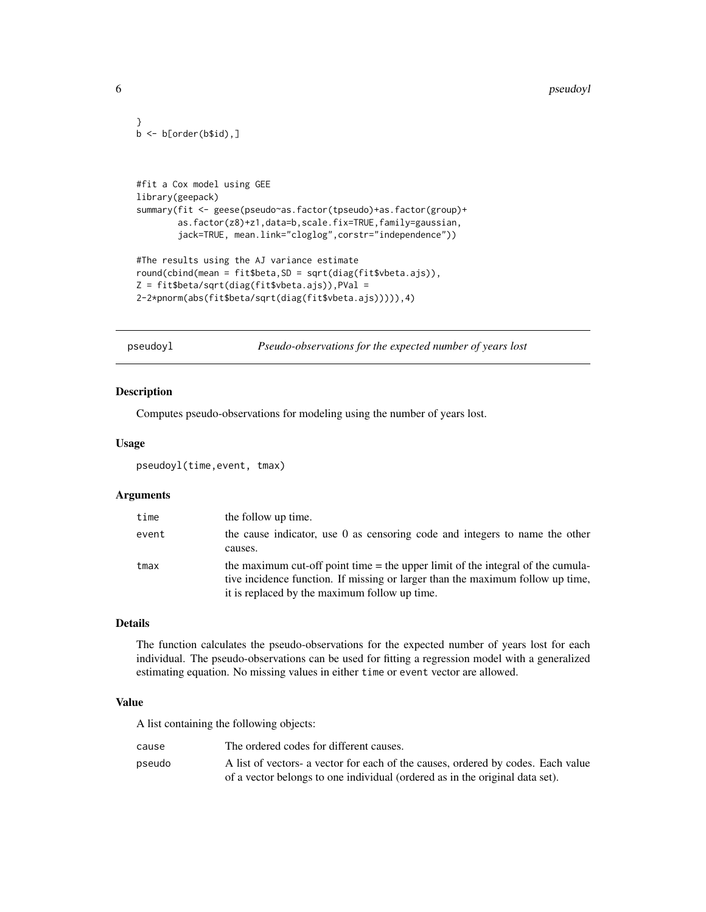```
}
b \leftarrow b[order(b$id),]#fit a Cox model using GEE
library(geepack)
summary(fit <- geese(pseudo~as.factor(tpseudo)+as.factor(group)+
        as.factor(z8)+z1,data=b,scale.fix=TRUE,family=gaussian,
        jack=TRUE, mean.link="cloglog",corstr="independence"))
#The results using the AJ variance estimate
round(cbind(mean = fit$beta,SD = sqrt(diag(fit$vbeta.ajs)),
Z = fit$beta/sqrt(diag(fit$vbeta.ajs)),PVal =
2-2*pnorm(abs(fit$beta/sqrt(diag(fit$vbeta.ajs))))),4)
```
pseudoyl *Pseudo-observations for the expected number of years lost*

#### Description

Computes pseudo-observations for modeling using the number of years lost.

#### Usage

pseudoyl(time,event, tmax)

#### Arguments

| time  | the follow up time.                                                                                                                                                                                                  |
|-------|----------------------------------------------------------------------------------------------------------------------------------------------------------------------------------------------------------------------|
| event | the cause indicator, use 0 as censoring code and integers to name the other<br>causes.                                                                                                                               |
| tmax  | the maximum cut-off point time $=$ the upper limit of the integral of the cumula-<br>tive incidence function. If missing or larger than the maximum follow up time,<br>it is replaced by the maximum follow up time. |

#### Details

The function calculates the pseudo-observations for the expected number of years lost for each individual. The pseudo-observations can be used for fitting a regression model with a generalized estimating equation. No missing values in either time or event vector are allowed.

#### Value

A list containing the following objects:

| cause  | The ordered codes for different causes.                                          |
|--------|----------------------------------------------------------------------------------|
| pseudo | A list of vectors- a vector for each of the causes, ordered by codes. Each value |
|        | of a vector belongs to one individual (ordered as in the original data set).     |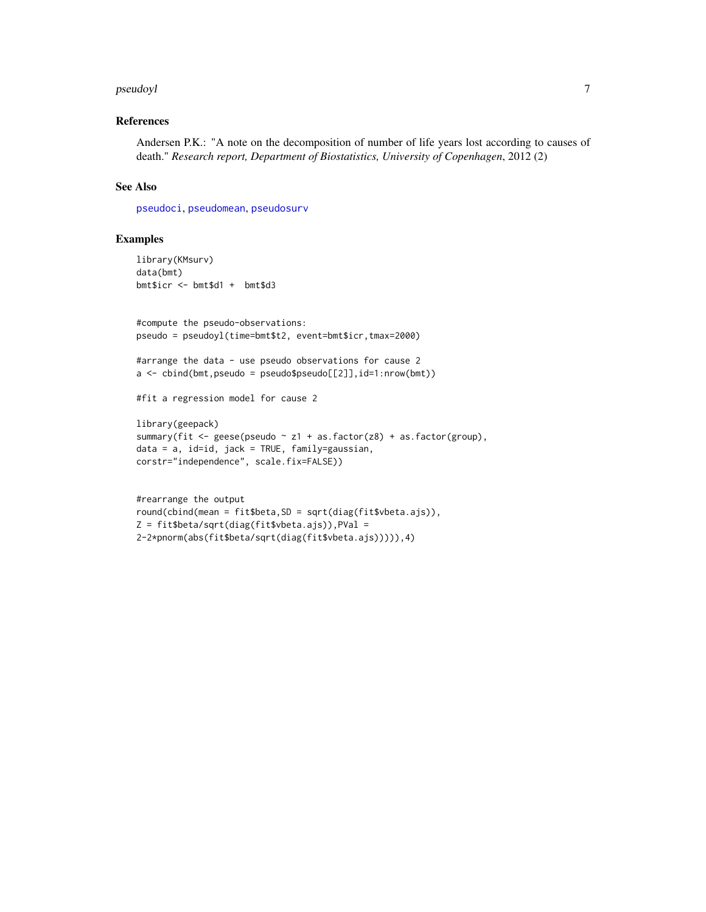#### <span id="page-6-0"></span>pseudoyl 7

#### References

Andersen P.K.: "A note on the decomposition of number of life years lost according to causes of death." *Research report, Department of Biostatistics, University of Copenhagen*, 2012 (2)

#### See Also

[pseudoci](#page-0-1), [pseudomean](#page-2-1), [pseudosurv](#page-3-1)

#### Examples

```
library(KMsurv)
data(bmt)
bmt$icr <- bmt$d1 + bmt$d3
#compute the pseudo-observations:
pseudo = pseudoyl(time=bmt$t2, event=bmt$icr,tmax=2000)
#arrange the data - use pseudo observations for cause 2
a \le -\text{bind}(bmt, pseudo = pseudo\$pseudo[[2]], id=1:nrow(bmt))#fit a regression model for cause 2
library(geepack)
summary(fit <- geese(pseudo ~ z1 + as.factor(z8) + as.factor(group),
data = a, id=id, jack = TRUE, family=gaussian,
corstr="independence", scale.fix=FALSE))
```

```
#rearrange the output
round(cbind(mean = fit$beta,SD = sqrt(diag(fit$vbeta.ajs)),
Z = fit$beta/sqrt(diag(fit$vbeta.ajs)),PVal =
2-2*pnorm(abs(fit$beta/sqrt(diag(fit$vbeta.ajs))))),4)
```